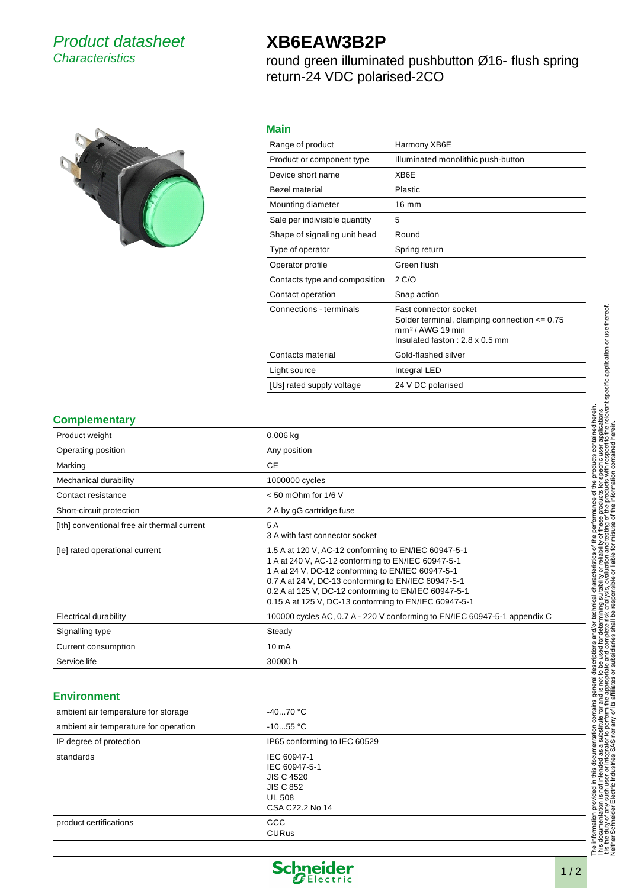## Product datasheet **Characteristics**

# **XB6EAW3B2P**

round green illuminated pushbutton Ø16- flush spring return-24 VDC polarised-2CO



### **Main**

| Range of product              | Harmony XB6E                                                                                                                    |
|-------------------------------|---------------------------------------------------------------------------------------------------------------------------------|
| Product or component type     | Illuminated monolithic push-button                                                                                              |
| Device short name             | XB6E                                                                                                                            |
| <b>Bezel material</b>         | Plastic                                                                                                                         |
| Mounting diameter             | $16 \text{ mm}$                                                                                                                 |
| Sale per indivisible quantity | 5                                                                                                                               |
| Shape of signaling unit head  | Round                                                                                                                           |
| Type of operator              | Spring return                                                                                                                   |
| Operator profile              | Green flush                                                                                                                     |
| Contacts type and composition | 2 C/O                                                                                                                           |
| Contact operation             | Snap action                                                                                                                     |
| Connections - terminals       | Fast connector socket<br>Solder terminal, clamping connection $\leq$ 0.75<br>$mm2/AWG$ 19 min<br>Insulated faston: 2.8 x 0.5 mm |
| Contacts material             | Gold-flashed silver                                                                                                             |
| Light source                  | Integral LED                                                                                                                    |
| [Us] rated supply voltage     | 24 V DC polarised                                                                                                               |

#### **Complementary**

| Product weight                              | $0.006$ kg                                                                                                                                                                                                                                                                                                                              |
|---------------------------------------------|-----------------------------------------------------------------------------------------------------------------------------------------------------------------------------------------------------------------------------------------------------------------------------------------------------------------------------------------|
| Operating position                          | Any position                                                                                                                                                                                                                                                                                                                            |
| Marking                                     | <b>CE</b>                                                                                                                                                                                                                                                                                                                               |
| Mechanical durability                       | 1000000 cycles                                                                                                                                                                                                                                                                                                                          |
| Contact resistance                          | $<$ 50 mOhm for 1/6 V                                                                                                                                                                                                                                                                                                                   |
| Short-circuit protection                    | 2 A by gG cartridge fuse                                                                                                                                                                                                                                                                                                                |
| [Ith] conventional free air thermal current | 5 A<br>3 A with fast connector socket                                                                                                                                                                                                                                                                                                   |
| [le] rated operational current              | 1.5 A at 120 V, AC-12 conforming to EN/IEC 60947-5-1<br>1 A at 240 V, AC-12 conforming to EN/IEC 60947-5-1<br>1 A at 24 V, DC-12 conforming to EN/IEC 60947-5-1<br>0.7 A at 24 V, DC-13 conforming to EN/IEC 60947-5-1<br>0.2 A at 125 V, DC-12 conforming to EN/IEC 60947-5-1<br>0.15 A at 125 V, DC-13 conforming to EN/IEC 60947-5-1 |
| <b>Electrical durability</b>                | 100000 cycles AC, 0.7 A - 220 V conforming to EN/IEC 60947-5-1 appendix C                                                                                                                                                                                                                                                               |
| Signalling type                             | Steady                                                                                                                                                                                                                                                                                                                                  |
| Current consumption                         | 10 <sub>m</sub> A                                                                                                                                                                                                                                                                                                                       |
| Service life                                | 30000 h                                                                                                                                                                                                                                                                                                                                 |

#### **Environment**

| ambient air temperature for storage   | $-4070$ °C                                                                                                |
|---------------------------------------|-----------------------------------------------------------------------------------------------------------|
| ambient air temperature for operation | $-1055$ °C                                                                                                |
| IP degree of protection               | IP65 conforming to IEC 60529                                                                              |
| standards                             | IEC 60947-1<br>IEC 60947-5-1<br><b>JIS C 4520</b><br><b>JIS C 852</b><br><b>UL 508</b><br>CSA C22.2 No 14 |
| product certifications                | <b>CCC</b><br><b>CURus</b>                                                                                |